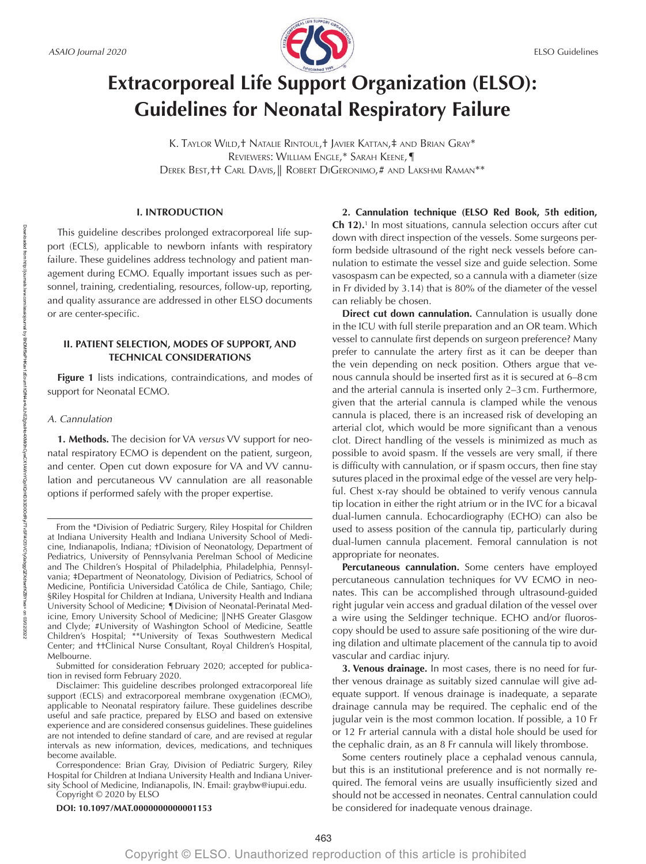

# **Extracorporeal Life Support Organization (ELSO): Guidelines for Neonatal Respiratory Failure**

K. TAYLOR WILD,† NATALIE RINTOUL,† JAVIER KATTAN,‡ AND BRIAN GRAY\* REVIEWERS: WILLIAM ENGLE,\* SARAH KEENE,¶ DEREK BEST,†† CARL DAVIS,║ ROBERT DIGERONIMO,# AND LAKSHMI RAMAN\*\*

# **I. INTRODUCTION**

This guideline describes prolonged extracorporeal life support (ECLS), applicable to newborn infants with respiratory failure. These guidelines address technology and patient management during ECMO. Equally important issues such as personnel, training, credentialing, resources, follow-up, reporting, and quality assurance are addressed in other ELSO documents or are center-specific.

# **II. PATIENT SELECTION, MODES OF SUPPORT, AND TECHNICAL CONSIDERATIONS**

**Figure 1** lists indications, contraindications, and modes of support for Neonatal ECMO.

# *A. Cannulation*

**1. Methods.** The decision for VA *versus* VV support for neonatal respiratory ECMO is dependent on the patient, surgeon, and center. Open cut down exposure for VA and VV cannulation and percutaneous VV cannulation are all reasonable options if performed safely with the proper expertise.

Submitted for consideration February 2020; accepted for publication in revised form February 2020.

Disclaimer: This guideline describes prolonged extracorporeal life support (ECLS) and extracorporeal membrane oxygenation (ECMO), applicable to Neonatal respiratory failure. These guidelines describe useful and safe practice, prepared by ELSO and based on extensive experience and are considered consensus guidelines. These guidelines are not intended to define standard of care, and are revised at regular intervals as new information, devices, medications, and techniques become available.

**DOI: 10.1097/MAT.0000000000001153**

**2. Cannulation technique (ELSO Red Book, 5th edition, Ch 12).**<sup>1</sup> In most situations, cannula selection occurs after cut down with direct inspection of the vessels. Some surgeons perform bedside ultrasound of the right neck vessels before cannulation to estimate the vessel size and guide selection. Some vasospasm can be expected, so a cannula with a diameter (size in Fr divided by 3.14) that is 80% of the diameter of the vessel can reliably be chosen.

**Direct cut down cannulation.** Cannulation is usually done in the ICU with full sterile preparation and an OR team. Which vessel to cannulate first depends on surgeon preference? Many prefer to cannulate the artery first as it can be deeper than the vein depending on neck position. Others argue that venous cannula should be inserted first as it is secured at 6–8cm and the arterial cannula is inserted only 2–3cm. Furthermore, given that the arterial cannula is clamped while the venous cannula is placed, there is an increased risk of developing an arterial clot, which would be more significant than a venous clot. Direct handling of the vessels is minimized as much as possible to avoid spasm. If the vessels are very small, if there is difficulty with cannulation, or if spasm occurs, then fine stay sutures placed in the proximal edge of the vessel are very helpful. Chest x-ray should be obtained to verify venous cannula tip location in either the right atrium or in the IVC for a bicaval dual-lumen cannula. Echocardiography (ECHO) can also be used to assess position of the cannula tip, particularly during dual-lumen cannula placement. Femoral cannulation is not appropriate for neonates.

**Percutaneous cannulation.** Some centers have employed percutaneous cannulation techniques for VV ECMO in neonates. This can be accomplished through ultrasound-guided right jugular vein access and gradual dilation of the vessel over a wire using the Seldinger technique. ECHO and/or fluoroscopy should be used to assure safe positioning of the wire during dilation and ultimate placement of the cannula tip to avoid vascular and cardiac injury.

**3. Venous drainage.** In most cases, there is no need for further venous drainage as suitably sized cannulae will give adequate support. If venous drainage is inadequate, a separate drainage cannula may be required. The cephalic end of the jugular vein is the most common location. If possible, a 10 Fr or 12 Fr arterial cannula with a distal hole should be used for the cephalic drain, as an 8 Fr cannula will likely thrombose.

Some centers routinely place a cephalad venous cannula, but this is an institutional preference and is not normally required. The femoral veins are usually insufficiently sized and should not be accessed in neonates. Central cannulation could be considered for inadequate venous drainage.

From the \*Division of Pediatric Surgery, Riley Hospital for Children at Indiana University Health and Indiana University School of Medicine, Indianapolis, Indiana; †Division of Neonatology, Department of Pediatrics, University of Pennsylvania Perelman School of Medicine and The Children's Hospital of Philadelphia, Philadelphia, Pennsylvania; ‡Department of Neonatology, Division of Pediatrics, School of Medicine, Pontificia Universidad Católica de Chile, Santiago, Chile; §Riley Hospital for Children at Indiana, University Health and Indiana University School of Medicine; ¶Division of Neonatal-Perinatal Medicine, Emory University School of Medicine; ║NHS Greater Glasgow and Clyde; #University of Washington School of Medicine, Seattle Children's Hospital; \*\*University of Texas Southwestern Medical Center; and ††Clinical Nurse Consultant, Royal Children's Hospital, Melbourne.

Correspondence: Brian Gray, Division of Pediatric Surgery, Riley Hospital for Children at Indiana University Health and Indiana University School of Medicine, Indianapolis, IN. Email: graybw@iupui.edu. Copyright © 2020 by ELSO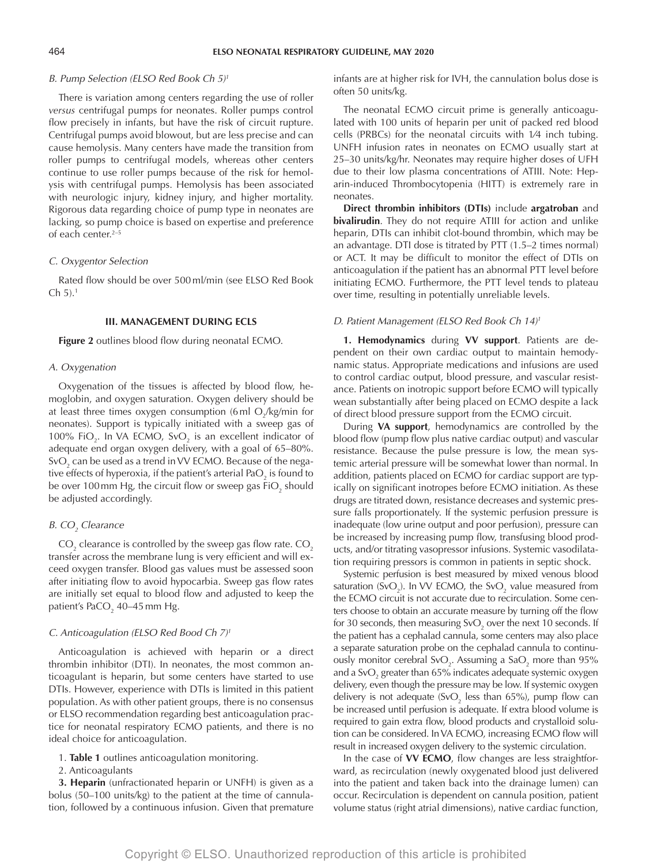# *B. Pump Selection (ELSO Red Book Ch 5)1*

There is variation among centers regarding the use of roller *versus* centrifugal pumps for neonates. Roller pumps control flow precisely in infants, but have the risk of circuit rupture. Centrifugal pumps avoid blowout, but are less precise and can cause hemolysis. Many centers have made the transition from roller pumps to centrifugal models, whereas other centers continue to use roller pumps because of the risk for hemolysis with centrifugal pumps. Hemolysis has been associated with neurologic injury, kidney injury, and higher mortality. Rigorous data regarding choice of pump type in neonates are lacking, so pump choice is based on expertise and preference of each center.<sup>2–5</sup>

#### *C. Oxygentor Selection*

Rated flow should be over 500ml/min (see ELSO Red Book  $Ch 5$ ).<sup>1</sup>

### **III. MANAGEMENT DURING ECLS**

**Figure 2** outlines blood flow during neonatal ECMO.

#### *A. Oxygenation*

Oxygenation of the tissues is affected by blood flow, hemoglobin, and oxygen saturation. Oxygen delivery should be at least three times oxygen consumption (6 ml  $O_{2}/\text{kg/min}$  for neonates). Support is typically initiated with a sweep gas of 100% FiO<sub>2</sub>. In VA ECMO, SvO<sub>2</sub> is an excellent indicator of adequate end organ oxygen delivery, with a goal of 65–80%. SvO $_2$  can be used as a trend in VV ECMO. Because of the negative effects of hyperoxia, if the patient's arterial Pa $\mathrm{O}_2$  is found to be over 100 mm Hg, the circuit flow or sweep gas FiO $_2^{\,}$  should be adjusted accordingly.

# *B. CO<sub>2</sub> Clearance*

CO<sub>2</sub> clearance is controlled by the sweep gas flow rate. CO<sub>2</sub> transfer across the membrane lung is very efficient and will exceed oxygen transfer. Blood gas values must be assessed soon after initiating flow to avoid hypocarbia. Sweep gas flow rates are initially set equal to blood flow and adjusted to keep the patient's PaCO $_2$  40–45 mm Hg.

# *C. Anticoagulation (ELSO Red Bood Ch 7)1*

Anticoagulation is achieved with heparin or a direct thrombin inhibitor (DTI). In neonates, the most common anticoagulant is heparin, but some centers have started to use DTIs. However, experience with DTIs is limited in this patient population. As with other patient groups, there is no consensus or ELSO recommendation regarding best anticoagulation practice for neonatal respiratory ECMO patients, and there is no ideal choice for anticoagulation.

1. **Table 1** outlines anticoagulation monitoring.

#### 2. Anticoagulants

**3. Heparin** (unfractionated heparin or UNFH) is given as a bolus (50–100 units/kg) to the patient at the time of cannulation, followed by a continuous infusion. Given that premature

infants are at higher risk for IVH, the cannulation bolus dose is often 50 units/kg.

The neonatal ECMO circuit prime is generally anticoagulated with 100 units of heparin per unit of packed red blood cells (PRBCs) for the neonatal circuits with 1⁄4 inch tubing. UNFH infusion rates in neonates on ECMO usually start at 25–30 units/kg/hr. Neonates may require higher doses of UFH due to their low plasma concentrations of ATIII. Note: Heparin-induced Thrombocytopenia (HITT) is extremely rare in neonates.

**Direct thrombin inhibitors (DTIs)** include **argatroban** and **bivalirudin**. They do not require ATIII for action and unlike heparin, DTIs can inhibit clot-bound thrombin, which may be an advantage. DTI dose is titrated by PTT (1.5–2 times normal) or ACT. It may be difficult to monitor the effect of DTIs on anticoagulation if the patient has an abnormal PTT level before initiating ECMO. Furthermore, the PTT level tends to plateau over time, resulting in potentially unreliable levels.

#### *D. Patient Management (ELSO Red Book Ch 14)1*

**1. Hemodynamics** during **VV support**. Patients are dependent on their own cardiac output to maintain hemodynamic status. Appropriate medications and infusions are used to control cardiac output, blood pressure, and vascular resistance. Patients on inotropic support before ECMO will typically wean substantially after being placed on ECMO despite a lack of direct blood pressure support from the ECMO circuit.

During **VA support**, hemodynamics are controlled by the blood flow (pump flow plus native cardiac output) and vascular resistance. Because the pulse pressure is low, the mean systemic arterial pressure will be somewhat lower than normal. In addition, patients placed on ECMO for cardiac support are typically on significant inotropes before ECMO initiation. As these drugs are titrated down, resistance decreases and systemic pressure falls proportionately. If the systemic perfusion pressure is inadequate (low urine output and poor perfusion), pressure can be increased by increasing pump flow, transfusing blood products, and/or titrating vasopressor infusions. Systemic vasodilatation requiring pressors is common in patients in septic shock.

Systemic perfusion is best measured by mixed venous blood saturation (SvO<sub>2</sub>). In VV ECMO, the SvO<sub>2</sub> value measured from the ECMO circuit is not accurate due to recirculation. Some centers choose to obtain an accurate measure by turning off the flow for 30 seconds, then measuring SvO $_{\textrm{\tiny{2}}}$  over the next 10 seconds. If the patient has a cephalad cannula, some centers may also place a separate saturation probe on the cephalad cannula to continuously monitor cerebral SvO<sub>2</sub>. Assuming a SaO<sub>2</sub> more than 95% and a SvO $_{\textrm{\tiny{2}}}$  greater than 65% indicates adequate systemic oxygen delivery, even though the pressure may be low. If systemic oxygen delivery is not adequate (SvO<sub>2</sub> less than 65%), pump flow can be increased until perfusion is adequate. If extra blood volume is required to gain extra flow, blood products and crystalloid solution can be considered. In VA ECMO, increasing ECMO flow will result in increased oxygen delivery to the systemic circulation.

In the case of **VV ECMO**, flow changes are less straightforward, as recirculation (newly oxygenated blood just delivered into the patient and taken back into the drainage lumen) can occur. Recirculation is dependent on cannula position, patient volume status (right atrial dimensions), native cardiac function,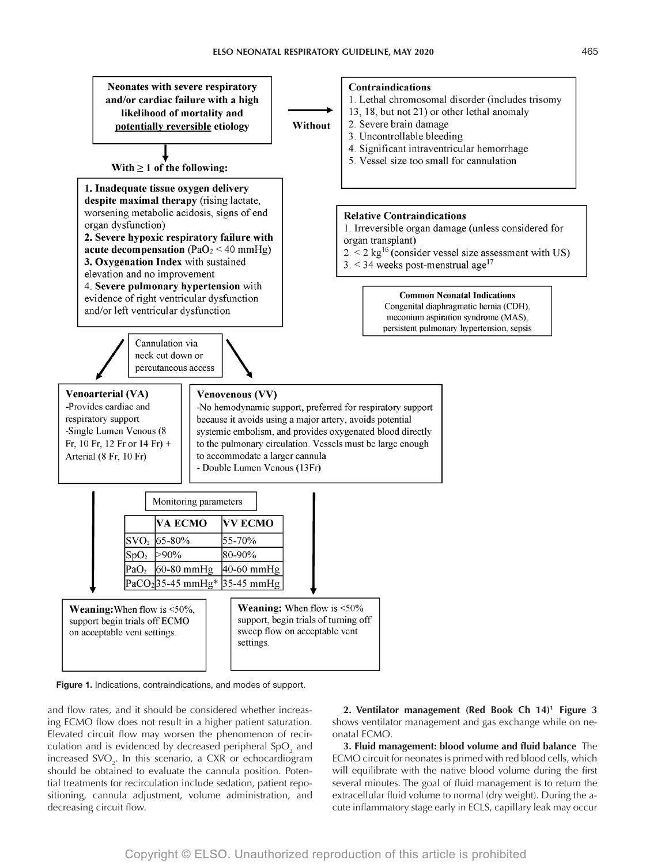



and flow rates, and it should be considered whether increasing ECMO flow does not result in a higher patient saturation. Elevated circuit flow may worsen the phenomenon of recirculation and is evidenced by decreased peripheral SpO<sub>2</sub> and increased  $\text{SVO}_2$ . In this scenario, a CXR or echocardiogram should be obtained to evaluate the cannula position. Potential treatments for recirculation include sedation, patient repositioning, cannula adjustment, volume administration, and decreasing circuit flow.

**2. Ventilator management (Red Book Ch 14)1 Figure 3** shows ventilator management and gas exchange while on neonatal ECMO.

**3. Fluid management: blood volume and fluid balance** The ECMO circuit for neonates is primed with red blood cells, which will equilibrate with the native blood volume during the first several minutes. The goal of fluid management is to return the extracellular fluid volume to normal (dry weight). During the acute inflammatory stage early in ECLS, capillary leak may occur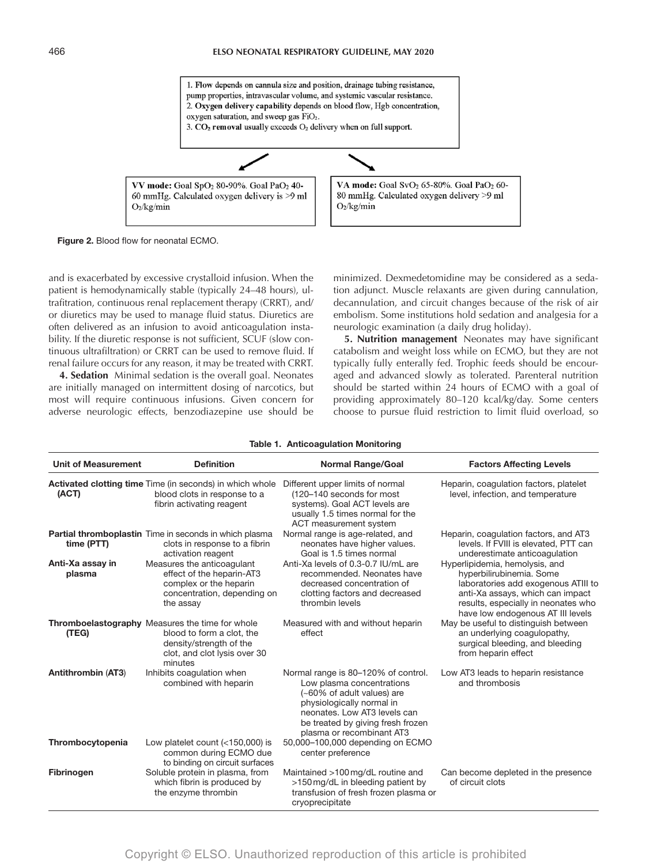

**Figure 2.** Blood flow for neonatal ECMO.

and is exacerbated by excessive crystalloid infusion. When the patient is hemodynamically stable (typically 24–48 hours), ultrafitration, continuous renal replacement therapy (CRRT), and/ or diuretics may be used to manage fluid status. Diuretics are often delivered as an infusion to avoid anticoagulation instability. If the diuretic response is not sufficient, SCUF (slow continuous ultrafiltration) or CRRT can be used to remove fluid. If renal failure occurs for any reason, it may be treated with CRRT.

**4. Sedation** Minimal sedation is the overall goal. Neonates are initially managed on intermittent dosing of narcotics, but most will require continuous infusions. Given concern for adverse neurologic effects, benzodiazepine use should be minimized. Dexmedetomidine may be considered as a sedation adjunct. Muscle relaxants are given during cannulation, decannulation, and circuit changes because of the risk of air embolism. Some institutions hold sedation and analgesia for a neurologic examination (a daily drug holiday).

**5. Nutrition management** Neonates may have significant catabolism and weight loss while on ECMO, but they are not typically fully enterally fed. Trophic feeds should be encouraged and advanced slowly as tolerated. Parenteral nutrition should be started within 24 hours of ECMO with a goal of providing approximately 80–120 kcal/kg/day. Some centers choose to pursue fluid restriction to limit fluid overload, so

# **Table 1. Anticoagulation Monitoring**

| <b>Unit of Measurement</b> | <b>Definition</b>                                                                                                                                  | <b>Normal Range/Goal</b>                                                                                                                                                                                                      | <b>Factors Affecting Levels</b>                                                                                                                                                                                   |
|----------------------------|----------------------------------------------------------------------------------------------------------------------------------------------------|-------------------------------------------------------------------------------------------------------------------------------------------------------------------------------------------------------------------------------|-------------------------------------------------------------------------------------------------------------------------------------------------------------------------------------------------------------------|
| (ACT)                      | <b>Activated clotting time</b> Time (in seconds) in which whole<br>blood clots in response to a<br>fibrin activating reagent                       | Different upper limits of normal<br>(120–140 seconds for most<br>systems). Goal ACT levels are<br>usually 1.5 times normal for the<br>ACT measurement system                                                                  | Heparin, coaqulation factors, platelet<br>level, infection, and temperature                                                                                                                                       |
| time (PTT)                 | Partial thromboplastin Time in seconds in which plasma<br>clots in response to a fibrin<br>activation reagent                                      | Normal range is age-related, and<br>neonates have higher values.<br>Goal is 1.5 times normal                                                                                                                                  | Heparin, coaqulation factors, and AT3<br>levels. If FVIII is elevated, PTT can<br>underestimate anticoagulation                                                                                                   |
| Anti-Xa assay in<br>plasma | Measures the anticoagulant<br>effect of the heparin-AT3<br>complex or the heparin<br>concentration, depending on<br>the assay                      | Anti-Xa levels of 0.3-0.7 IU/mL are<br>recommended. Neonates have<br>decreased concentration of<br>clotting factors and decreased<br>thrombin levels                                                                          | Hyperlipidemia, hemolysis, and<br>hyperbilirubinemia. Some<br>laboratories add exogenous ATIII to<br>anti-Xa assays, which can impact<br>results, especially in neonates who<br>have low endogenous AT III levels |
| (TEG)                      | Thromboelastography Measures the time for whole<br>blood to form a clot, the<br>density/strength of the<br>clot, and clot lysis over 30<br>minutes | Measured with and without heparin<br>effect                                                                                                                                                                                   | May be useful to distinguish between<br>an underlying coagulopathy,<br>surgical bleeding, and bleeding<br>from heparin effect                                                                                     |
| Antithrombin (AT3)         | Inhibits coagulation when<br>combined with heparin                                                                                                 | Normal range is 80-120% of control.<br>Low plasma concentrations<br>(~60% of adult values) are<br>physiologically normal in<br>neonates. Low AT3 levels can<br>be treated by giving fresh frozen<br>plasma or recombinant AT3 | Low AT3 leads to heparin resistance<br>and thrombosis                                                                                                                                                             |
| Thrombocytopenia           | Low platelet count $(<150,000)$ is<br>common during ECMO due<br>to binding on circuit surfaces                                                     | 50,000-100,000 depending on ECMO<br>center preference                                                                                                                                                                         |                                                                                                                                                                                                                   |
| Fibrinogen                 | Soluble protein in plasma, from<br>which fibrin is produced by<br>the enzyme thrombin                                                              | Maintained >100 mg/dL routine and<br>>150 mg/dL in bleeding patient by<br>transfusion of fresh frozen plasma or<br>cryoprecipitate                                                                                            | Can become depleted in the presence<br>of circuit clots                                                                                                                                                           |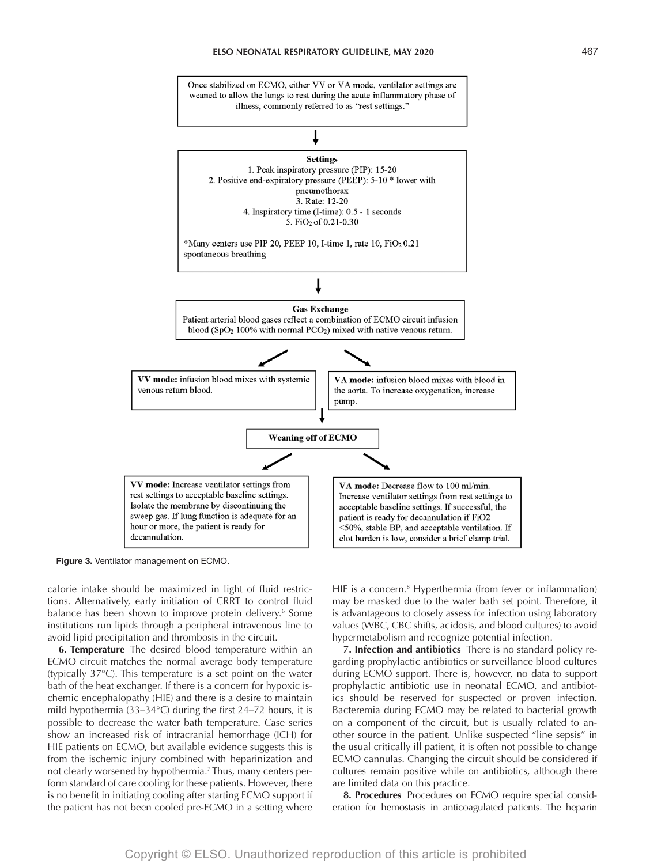# **ELSO Neonatal Respiratory Guideline, May 2020** 467



**Figure 3.** Ventilator management on ECMO.

calorie intake should be maximized in light of fluid restrictions. Alternatively, early initiation of CRRT to control fluid balance has been shown to improve protein delivery.<sup>6</sup> Some institutions run lipids through a peripheral intravenous line to avoid lipid precipitation and thrombosis in the circuit.

**6. Temperature** The desired blood temperature within an ECMO circuit matches the normal average body temperature (typically 37°C). This temperature is a set point on the water bath of the heat exchanger. If there is a concern for hypoxic ischemic encephalopathy (HIE) and there is a desire to maintain mild hypothermia (33–34°C) during the first 24–72 hours, it is possible to decrease the water bath temperature. Case series show an increased risk of intracranial hemorrhage (ICH) for HIE patients on ECMO, but available evidence suggests this is from the ischemic injury combined with heparinization and not clearly worsened by hypothermia.7 Thus, many centers perform standard of care cooling for these patients. However, there is no benefit in initiating cooling after starting ECMO support if the patient has not been cooled pre-ECMO in a setting where

HIE is a concern.<sup>8</sup> Hyperthermia (from fever or inflammation) may be masked due to the water bath set point. Therefore, it is advantageous to closely assess for infection using laboratory values (WBC, CBC shifts, acidosis, and blood cultures) to avoid hypermetabolism and recognize potential infection.

**7. Infection and antibiotics** There is no standard policy regarding prophylactic antibiotics or surveillance blood cultures during ECMO support. There is, however, no data to support prophylactic antibiotic use in neonatal ECMO, and antibiotics should be reserved for suspected or proven infection. Bacteremia during ECMO may be related to bacterial growth on a component of the circuit, but is usually related to another source in the patient. Unlike suspected "line sepsis" in the usual critically ill patient, it is often not possible to change ECMO cannulas. Changing the circuit should be considered if cultures remain positive while on antibiotics, although there are limited data on this practice.

**8. Procedures** Procedures on ECMO require special consideration for hemostasis in anticoagulated patients. The heparin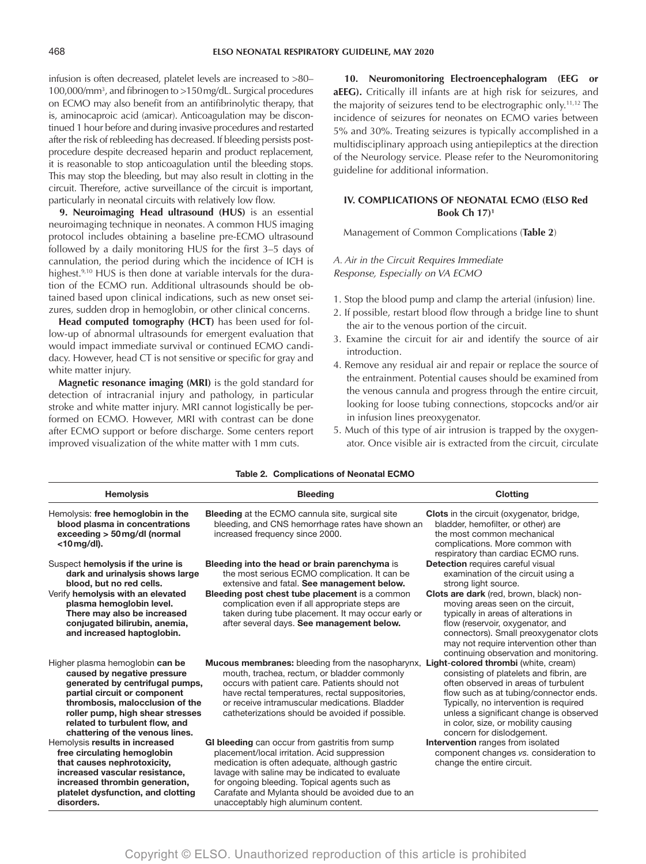infusion is often decreased, platelet levels are increased to >80– 100,000/mm3 , and fibrinogen to >150mg/dL. Surgical procedures on ECMO may also benefit from an antifibrinolytic therapy, that is, aminocaproic acid (amicar). Anticoagulation may be discontinued 1 hour before and during invasive procedures and restarted after the risk of rebleeding has decreased. If bleeding persists postprocedure despite decreased heparin and product replacement, it is reasonable to stop anticoagulation until the bleeding stops. This may stop the bleeding, but may also result in clotting in the circuit. Therefore, active surveillance of the circuit is important, particularly in neonatal circuits with relatively low flow.

**9. Neuroimaging Head ultrasound (HUS)** is an essential neuroimaging technique in neonates. A common HUS imaging protocol includes obtaining a baseline pre-ECMO ultrasound followed by a daily monitoring HUS for the first 3–5 days of cannulation, the period during which the incidence of ICH is highest.<sup>9,10</sup> HUS is then done at variable intervals for the duration of the ECMO run. Additional ultrasounds should be obtained based upon clinical indications, such as new onset seizures, sudden drop in hemoglobin, or other clinical concerns.

**Head computed tomography (HCT)** has been used for follow-up of abnormal ultrasounds for emergent evaluation that would impact immediate survival or continued ECMO candidacy. However, head CT is not sensitive or specific for gray and white matter injury.

**Magnetic resonance imaging (MRI)** is the gold standard for detection of intracranial injury and pathology, in particular stroke and white matter injury. MRI cannot logistically be performed on ECMO. However, MRI with contrast can be done after ECMO support or before discharge. Some centers report improved visualization of the white matter with 1mm cuts.

**10. Neuromonitoring Electroencephalogram (EEG or aEEG).** Critically ill infants are at high risk for seizures, and the majority of seizures tend to be electrographic only.11,12 The incidence of seizures for neonates on ECMO varies between 5% and 30%. Treating seizures is typically accomplished in a multidisciplinary approach using antiepileptics at the direction of the Neurology service. Please refer to the Neuromonitoring guideline for additional information.

# **IV. COMPLICATIONS OF NEONATAL ECMO (ELSO Red Book Ch 17)1**

Management of Common Complications (**Table 2**)

*A. Air in the Circuit Requires Immediate Response, Especially on VA ECMO*

- 1. Stop the blood pump and clamp the arterial (infusion) line.
- 2. If possible, restart blood flow through a bridge line to shunt the air to the venous portion of the circuit.
- 3. Examine the circuit for air and identify the source of air introduction.
- 4. Remove any residual air and repair or replace the source of the entrainment. Potential causes should be examined from the venous cannula and progress through the entire circuit, looking for loose tubing connections, stopcocks and/or air in infusion lines preoxygenator.
- 5. Much of this type of air intrusion is trapped by the oxygenator. Once visible air is extracted from the circuit, circulate

| Table 2. Complications of Neonatal ECMO                                                                                                                                                                                                                                       |                                                                                                                                                                                                                                                                                                                                                            |                                                                                                                                                                                                                                                                                                                                                                                            |  |  |  |
|-------------------------------------------------------------------------------------------------------------------------------------------------------------------------------------------------------------------------------------------------------------------------------|------------------------------------------------------------------------------------------------------------------------------------------------------------------------------------------------------------------------------------------------------------------------------------------------------------------------------------------------------------|--------------------------------------------------------------------------------------------------------------------------------------------------------------------------------------------------------------------------------------------------------------------------------------------------------------------------------------------------------------------------------------------|--|--|--|
| <b>Hemolysis</b>                                                                                                                                                                                                                                                              | <b>Bleeding</b>                                                                                                                                                                                                                                                                                                                                            | <b>Clotting</b>                                                                                                                                                                                                                                                                                                                                                                            |  |  |  |
| Hemolysis: free hemoglobin in the<br>blood plasma in concentrations<br>exceeding > 50 mg/dl (normal<br>$<$ 10 mg/dl).                                                                                                                                                         | Bleeding at the ECMO cannula site, surgical site<br>bleeding, and CNS hemorrhage rates have shown an<br>increased frequency since 2000.                                                                                                                                                                                                                    | <b>Clots</b> in the circuit (oxygenator, bridge,<br>bladder, hemofilter, or other) are<br>the most common mechanical<br>complications. More common with<br>respiratory than cardiac ECMO runs.                                                                                                                                                                                             |  |  |  |
| Suspect hemolysis if the urine is<br>dark and urinalysis shows large<br>blood, but no red cells.<br>Verify hemolysis with an elevated<br>plasma hemoglobin level.<br>There may also be increased<br>conjugated bilirubin, anemia,<br>and increased haptoglobin.               | Bleeding into the head or brain parenchyma is<br>the most serious ECMO complication. It can be<br>extensive and fatal. See management below.<br><b>Bleeding post chest tube placement is a common</b><br>complication even if all appropriate steps are<br>taken during tube placement. It may occur early or<br>after several days. See management below. | Detection requires careful visual<br>examination of the circuit using a<br>strong light source.<br>Clots are dark (red, brown, black) non-<br>moving areas seen on the circuit,<br>typically in areas of alterations in<br>flow (reservoir, oxygenator, and<br>connectors). Small preoxygenator clots<br>may not require intervention other than<br>continuing observation and monitoring. |  |  |  |
| Higher plasma hemoglobin can be<br>caused by negative pressure<br>generated by centrifugal pumps,<br>partial circuit or component<br>thrombosis, malocclusion of the<br>roller pump, high shear stresses<br>related to turbulent flow, and<br>chattering of the venous lines. | <b>Mucous membranes:</b> bleeding from the nasopharynx,<br>mouth, trachea, rectum, or bladder commonly<br>occurs with patient care. Patients should not<br>have rectal temperatures, rectal suppositories,<br>or receive intramuscular medications. Bladder<br>catheterizations should be avoided if possible.                                             | Light-colored thrombi (white, cream)<br>consisting of platelets and fibrin, are<br>often observed in areas of turbulent<br>flow such as at tubing/connector ends.<br>Typically, no intervention is required<br>unless a significant change is observed<br>in color, size, or mobility causing<br>concern for dislodgement.                                                                 |  |  |  |
| Hemolysis results in increased<br>free circulating hemoglobin<br>that causes nephrotoxicity,<br>increased vascular resistance,<br>increased thrombin generation,<br>platelet dysfunction, and clotting<br>disorders.                                                          | GI bleeding can occur from gastritis from sump<br>placement/local irritation. Acid suppression<br>medication is often adequate, although gastric<br>lavage with saline may be indicated to evaluate<br>for ongoing bleeding. Topical agents such as<br>Carafate and Mylanta should be avoided due to an<br>unacceptably high aluminum content.             | <b>Intervention</b> ranges from isolated<br>component changes vs. consideration to<br>change the entire circuit.                                                                                                                                                                                                                                                                           |  |  |  |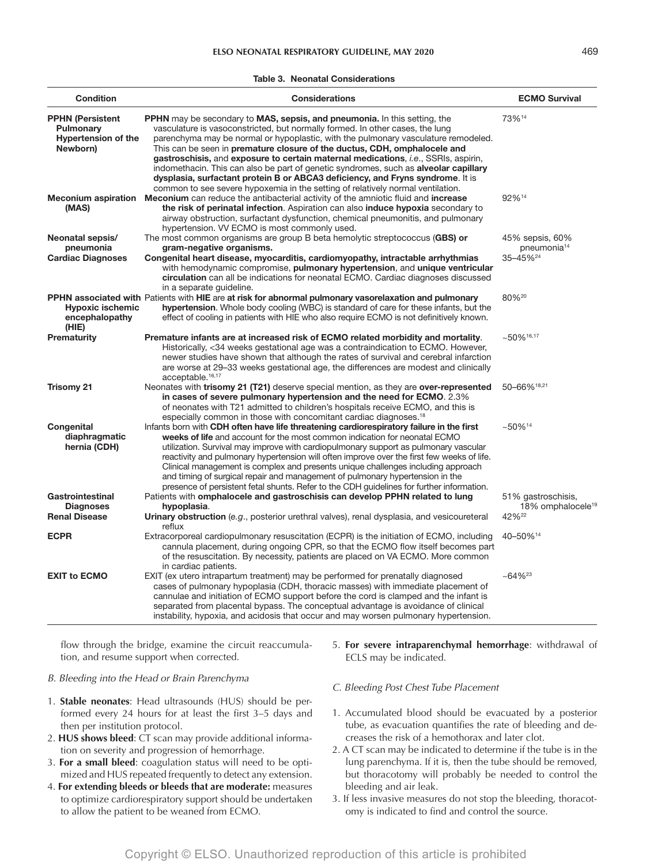| <b>Condition</b>                                                               | <b>Considerations</b>                                                                                                                                                                                                                                                                                                                                                                                                                                                                                                                                                                                                                                                                    | <b>ECMO Survival</b>                                                     |
|--------------------------------------------------------------------------------|------------------------------------------------------------------------------------------------------------------------------------------------------------------------------------------------------------------------------------------------------------------------------------------------------------------------------------------------------------------------------------------------------------------------------------------------------------------------------------------------------------------------------------------------------------------------------------------------------------------------------------------------------------------------------------------|--------------------------------------------------------------------------|
| <b>PPHN (Persistent</b><br>Pulmonary<br><b>Hypertension of the</b><br>Newborn) | PPHN may be secondary to MAS, sepsis, and pneumonia. In this setting, the<br>vasculature is vasoconstricted, but normally formed. In other cases, the lung<br>parenchyma may be normal or hypoplastic, with the pulmonary vasculature remodeled.<br>This can be seen in premature closure of the ductus, CDH, omphalocele and<br>gastroschisis, and exposure to certain maternal medications, <i>i.e.</i> , SSRIs, aspirin,<br>indomethacin. This can also be part of genetic syndromes, such as alveolar capillary<br>dysplasia, surfactant protein B or ABCA3 deficiency, and Fryns syndrome. It is<br>common to see severe hypoxemia in the setting of relatively normal ventilation. | 73%14                                                                    |
| <b>Meconium aspiration</b><br>(MAS)                                            | Meconium can reduce the antibacterial activity of the amniotic fluid and increase<br>the risk of perinatal infection. Aspiration can also induce hypoxia secondary to<br>airway obstruction, surfactant dysfunction, chemical pneumonitis, and pulmonary<br>hypertension. VV ECMO is most commonly used.                                                                                                                                                                                                                                                                                                                                                                                 | 92%14                                                                    |
| Neonatal sepsis/<br>pneumonia<br><b>Cardiac Diagnoses</b>                      | The most common organisms are group B beta hemolytic streptococcus (GBS) or<br>gram-negative organisms.<br>Congenital heart disease, myocarditis, cardiomyopathy, intractable arrhythmias<br>with hemodynamic compromise, pulmonary hypertension, and unique ventricular<br>circulation can all be indications for neonatal ECMO. Cardiac diagnoses discussed<br>in a separate guideline.                                                                                                                                                                                                                                                                                                | 45% sepsis, 60%<br>pneumonia <sup>14</sup><br>35-45% <sup>24</sup>       |
| <b>Hypoxic ischemic</b><br>encephalopathy<br>(HIE)                             | PPHN associated with Patients with HIE are at risk for abnormal pulmonary vasorelaxation and pulmonary<br>hypertension. Whole body cooling (WBC) is standard of care for these infants, but the<br>effect of cooling in patients with HIE who also require ECMO is not definitively known.                                                                                                                                                                                                                                                                                                                                                                                               | 80%20                                                                    |
| Prematurity                                                                    | Premature infants are at increased risk of ECMO related morbidity and mortality.<br>Historically, <34 weeks gestational age was a contraindication to ECMO. However,<br>newer studies have shown that although the rates of survival and cerebral infarction<br>are worse at 29–33 weeks gestational age, the differences are modest and clinically<br>acceptable. <sup>16,17</sup>                                                                                                                                                                                                                                                                                                      | ~16,17                                                                   |
| <b>Trisomy 21</b>                                                              | Neonates with trisomy 21 (T21) deserve special mention, as they are over-represented<br>in cases of severe pulmonary hypertension and the need for ECMO. 2.3%<br>of neonates with T21 admitted to children's hospitals receive ECMO, and this is<br>especially common in those with concomitant cardiac diagnoses. <sup>18</sup>                                                                                                                                                                                                                                                                                                                                                         | 50-66%18,21                                                              |
| Congenital<br>diaphragmatic<br>hernia (CDH)                                    | Infants born with CDH often have life threatening cardiorespiratory failure in the first<br>weeks of life and account for the most common indication for neonatal ECMO<br>utilization. Survival may improve with cardiopulmonary support as pulmonary vascular<br>reactivity and pulmonary hypertension will often improve over the first few weeks of life.<br>Clinical management is complex and presents unique challenges including approach<br>and timing of surgical repair and management of pulmonary hypertension in the<br>presence of persistent fetal shunts. Refer to the CDH guidelines for further information.                                                           | ~14                                                                      |
| Gastrointestinal<br><b>Diagnoses</b><br><b>Renal Disease</b>                   | Patients with omphalocele and gastroschisis can develop PPHN related to lung<br>hypoplasia.<br><b>Urinary obstruction</b> (e.g., posterior urethral valves), renal dysplasia, and vesicoureteral<br>reflux                                                                                                                                                                                                                                                                                                                                                                                                                                                                               | 51% gastroschisis,<br>18% omphalocele <sup>19</sup><br>42% <sup>22</sup> |
| <b>ECPR</b>                                                                    | Extracorporeal cardiopulmonary resuscitation (ECPR) is the initiation of ECMO, including<br>cannula placement, during ongoing CPR, so that the ECMO flow itself becomes part<br>of the resuscitation. By necessity, patients are placed on VA ECMO. More common<br>in cardiac patients.                                                                                                                                                                                                                                                                                                                                                                                                  | 40-50%14                                                                 |
| <b>EXIT to ECMO</b>                                                            | EXIT (ex utero intrapartum treatment) may be performed for prenatally diagnosed<br>cases of pulmonary hypoplasia (CDH, thoracic masses) with immediate placement of<br>cannulae and initiation of ECMO support before the cord is clamped and the infant is<br>separated from placental bypass. The conceptual advantage is avoidance of clinical<br>instability, hypoxia, and acidosis that occur and may worsen pulmonary hypertension.                                                                                                                                                                                                                                                | $~10^{64}$ % <sup>23</sup>                                               |

flow through the bridge, examine the circuit reaccumulation, and resume support when corrected.

#### *B. Bleeding into the Head or Brain Parenchyma*

- 1. **Stable neonates**: Head ultrasounds (HUS) should be performed every 24 hours for at least the first 3–5 days and then per institution protocol.
- 2. **HUS shows bleed**: CT scan may provide additional information on severity and progression of hemorrhage.
- 3. **For a small bleed**: coagulation status will need to be optimized and HUS repeated frequently to detect any extension.
- 4. **For extending bleeds or bleeds that are moderate:** measures to optimize cardiorespiratory support should be undertaken to allow the patient to be weaned from ECMO.

5. **For severe intraparenchymal hemorrhage**: withdrawal of ECLS may be indicated.

# *C. Bleeding Post Chest Tube Placement*

- 1. Accumulated blood should be evacuated by a posterior tube, as evacuation quantifies the rate of bleeding and decreases the risk of a hemothorax and later clot.
- 2. A CT scan may be indicated to determine if the tube is in the lung parenchyma. If it is, then the tube should be removed, but thoracotomy will probably be needed to control the bleeding and air leak.
- 3. If less invasive measures do not stop the bleeding, thoracotomy is indicated to find and control the source.